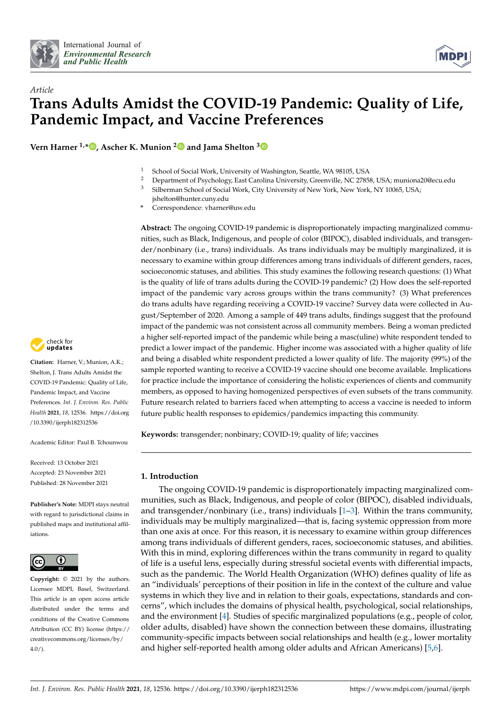



# *Article* **Trans Adults Amidst the COVID-19 Pandemic: Quality of Life, Pandemic Impact, and Vaccine Preferences**

**Vern Harner 1,[\\*](https://orcid.org/0000-0002-5176-7864) , Ascher K. Munion [2](https://orcid.org/0000-0002-3945-8671) and Jama Shelton [3](https://orcid.org/0000-0001-5990-5072)**

- <sup>1</sup> School of Social Work, University of Washington, Seattle, WA 98105, USA<br><sup>2</sup> Department of Psychology East Carolina University Greenville, NC 2785
- <sup>2</sup> Department of Psychology, East Carolina University, Greenville, NC 27858, USA; muniona20@ecu.edu<br><sup>3</sup> Silbarman Sebacl of Social Wark, City University of Naw York, Naw York, NV 10065, USA.
- <sup>3</sup> Silberman School of Social Work, City University of New York, New York, NY 10065, USA; jshelton@hunter.cuny.edu
- **\*** Correspondence: vharner@uw.edu

**Abstract:** The ongoing COVID-19 pandemic is disproportionately impacting marginalized communities, such as Black, Indigenous, and people of color (BIPOC), disabled individuals, and transgender/nonbinary (i.e., trans) individuals. As trans individuals may be multiply marginalized, it is necessary to examine within group differences among trans individuals of different genders, races, socioeconomic statuses, and abilities. This study examines the following research questions: (1) What is the quality of life of trans adults during the COVID-19 pandemic? (2) How does the self-reported impact of the pandemic vary across groups within the trans community? (3) What preferences do trans adults have regarding receiving a COVID-19 vaccine? Survey data were collected in August/September of 2020. Among a sample of 449 trans adults, findings suggest that the profound impact of the pandemic was not consistent across all community members. Being a woman predicted a higher self-reported impact of the pandemic while being a masc(uline) white respondent tended to predict a lower impact of the pandemic. Higher income was associated with a higher quality of life and being a disabled white respondent predicted a lower quality of life. The majority (99%) of the sample reported wanting to receive a COVID-19 vaccine should one become available. Implications for practice include the importance of considering the holistic experiences of clients and community members, as opposed to having homogenized perspectives of even subsets of the trans community. Future research related to barriers faced when attempting to access a vaccine is needed to inform future public health responses to epidemics/pandemics impacting this community.

**Keywords:** transgender; nonbinary; COVID-19; quality of life; vaccines

# **1. Introduction**

The ongoing COVID-19 pandemic is disproportionately impacting marginalized communities, such as Black, Indigenous, and people of color (BIPOC), disabled individuals, and transgender/nonbinary (i.e., trans) individuals  $[1-3]$  $[1-3]$ . Within the trans community, individuals may be multiply marginalized—that is, facing systemic oppression from more than one axis at once. For this reason, it is necessary to examine within group differences among trans individuals of different genders, races, socioeconomic statuses, and abilities. With this in mind, exploring differences within the trans community in regard to quality of life is a useful lens, especially during stressful societal events with differential impacts, such as the pandemic. The World Health Organization (WHO) defines quality of life as an "individuals' perceptions of their position in life in the context of the culture and value systems in which they live and in relation to their goals, expectations, standards and concerns", which includes the domains of physical health, psychological, social relationships, and the environment [\[4\]](#page-14-2). Studies of specific marginalized populations (e.g., people of color, older adults, disabled) have shown the connection between these domains, illustrating community-specific impacts between social relationships and health (e.g., lower mortality and higher self-reported health among older adults and African Americans) [\[5,](#page-14-3)[6\]](#page-14-4).



**Citation:** Harner, V.; Munion, A.K.; Shelton, J. Trans Adults Amidst the COVID-19 Pandemic: Quality of Life, Pandemic Impact, and Vaccine Preferences. *Int. J. Environ. Res. Public Health* **2021**, *18*, 12536. [https://doi.org](https://doi.org/10.3390/ijerph182312536) [/10.3390/ijerph182312536](https://doi.org/10.3390/ijerph182312536)

Academic Editor: Paul B. Tchounwou

Received: 13 October 2021 Accepted: 23 November 2021 Published: 28 November 2021

**Publisher's Note:** MDPI stays neutral with regard to jurisdictional claims in published maps and institutional affiliations.



**Copyright:** © 2021 by the authors. Licensee MDPI, Basel, Switzerland. This article is an open access article distributed under the terms and conditions of the Creative Commons Attribution (CC BY) license (https:/[/](https://creativecommons.org/licenses/by/4.0/) [creativecommons.org/licenses/by/](https://creativecommons.org/licenses/by/4.0/)  $4.0/$ ).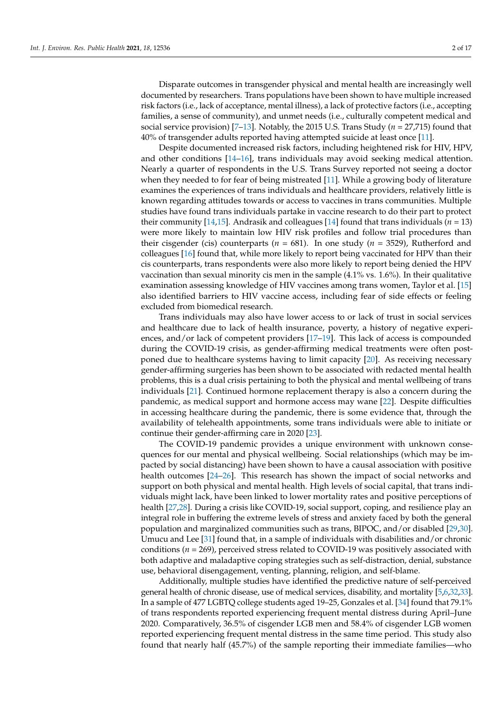Disparate outcomes in transgender physical and mental health are increasingly well documented by researchers. Trans populations have been shown to have multiple increased risk factors (i.e., lack of acceptance, mental illness), a lack of protective factors (i.e., accepting families, a sense of community), and unmet needs (i.e., culturally competent medical and social service provision) [\[7](#page-14-5)[–13\]](#page-14-6). Notably, the 2015 U.S. Trans Study (*n* = 27,715) found that 40% of transgender adults reported having attempted suicide at least once [\[11\]](#page-14-7).

Despite documented increased risk factors, including heightened risk for HIV, HPV, and other conditions [\[14–](#page-14-8)[16\]](#page-14-9), trans individuals may avoid seeking medical attention. Nearly a quarter of respondents in the U.S. Trans Survey reported not seeing a doctor when they needed to for fear of being mistreated [\[11\]](#page-14-7). While a growing body of literature examines the experiences of trans individuals and healthcare providers, relatively little is known regarding attitudes towards or access to vaccines in trans communities. Multiple studies have found trans individuals partake in vaccine research to do their part to protect their community [\[14,](#page-14-8)[15\]](#page-14-10). Andrasik and colleagues [\[14\]](#page-14-8) found that trans individuals ( $n = 13$ ) were more likely to maintain low HIV risk profiles and follow trial procedures than their cisgender (cis) counterparts ( $n = 681$ ). In one study ( $n = 3529$ ), Rutherford and colleagues [\[16\]](#page-14-9) found that, while more likely to report being vaccinated for HPV than their cis counterparts, trans respondents were also more likely to report being denied the HPV vaccination than sexual minority cis men in the sample (4.1% vs. 1.6%). In their qualitative examination assessing knowledge of HIV vaccines among trans women, Taylor et al. [\[15\]](#page-14-10) also identified barriers to HIV vaccine access, including fear of side effects or feeling excluded from biomedical research.

Trans individuals may also have lower access to or lack of trust in social services and healthcare due to lack of health insurance, poverty, a history of negative experiences, and/or lack of competent providers [\[17](#page-14-11)[–19\]](#page-14-12). This lack of access is compounded during the COVID-19 crisis, as gender-affirming medical treatments were often postponed due to healthcare systems having to limit capacity [\[20\]](#page-14-13). As receiving necessary gender-affirming surgeries has been shown to be associated with redacted mental health problems, this is a dual crisis pertaining to both the physical and mental wellbeing of trans individuals [\[21\]](#page-14-14). Continued hormone replacement therapy is also a concern during the pandemic, as medical support and hormone access may wane [\[22\]](#page-14-15). Despite difficulties in accessing healthcare during the pandemic, there is some evidence that, through the availability of telehealth appointments, some trans individuals were able to initiate or continue their gender-affirming care in 2020 [\[23\]](#page-14-16).

The COVID-19 pandemic provides a unique environment with unknown consequences for our mental and physical wellbeing. Social relationships (which may be impacted by social distancing) have been shown to have a causal association with positive health outcomes [\[24](#page-14-17)[–26\]](#page-14-18). This research has shown the impact of social networks and support on both physical and mental health. High levels of social capital, that trans individuals might lack, have been linked to lower mortality rates and positive perceptions of health [\[27](#page-14-19)[,28\]](#page-14-20). During a crisis like COVID-19, social support, coping, and resilience play an integral role in buffering the extreme levels of stress and anxiety faced by both the general population and marginalized communities such as trans, BIPOC, and/or disabled [\[29](#page-15-0)[,30\]](#page-15-1). Umucu and Lee [\[31\]](#page-15-2) found that, in a sample of individuals with disabilities and/or chronic conditions (*n* = 269), perceived stress related to COVID-19 was positively associated with both adaptive and maladaptive coping strategies such as self-distraction, denial, substance use, behavioral disengagement, venting, planning, religion, and self-blame.

Additionally, multiple studies have identified the predictive nature of self-perceived general health of chronic disease, use of medical services, disability, and mortality [\[5,](#page-14-3)[6](#page-14-4)[,32](#page-15-3)[,33\]](#page-15-4). In a sample of 477 LGBTQ college students aged 19–25, Gonzales et al. [\[34\]](#page-15-5) found that 79.1% of trans respondents reported experiencing frequent mental distress during April–June 2020. Comparatively, 36.5% of cisgender LGB men and 58.4% of cisgender LGB women reported experiencing frequent mental distress in the same time period. This study also found that nearly half (45.7%) of the sample reporting their immediate families—who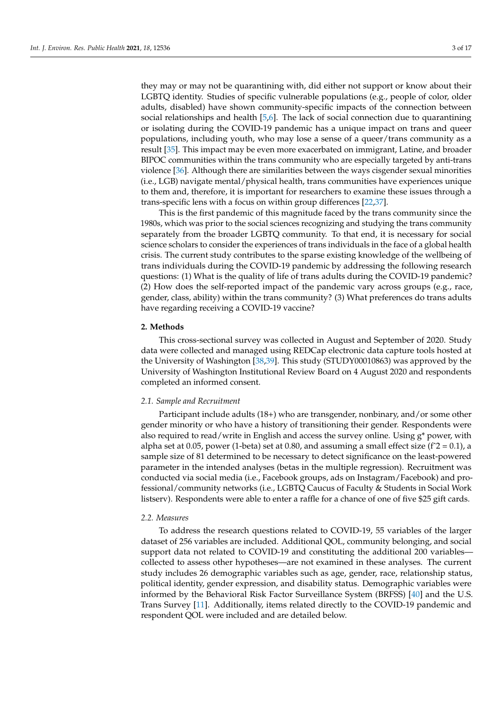they may or may not be quarantining with, did either not support or know about their LGBTQ identity. Studies of specific vulnerable populations (e.g., people of color, older adults, disabled) have shown community-specific impacts of the connection between social relationships and health [\[5,](#page-14-3)[6\]](#page-14-4). The lack of social connection due to quarantining or isolating during the COVID-19 pandemic has a unique impact on trans and queer populations, including youth, who may lose a sense of a queer/trans community as a result [\[35\]](#page-15-6). This impact may be even more exacerbated on immigrant, Latine, and broader BIPOC communities within the trans community who are especially targeted by anti-trans violence [\[36\]](#page-15-7). Although there are similarities between the ways cisgender sexual minorities (i.e., LGB) navigate mental/physical health, trans communities have experiences unique to them and, therefore, it is important for researchers to examine these issues through a trans-specific lens with a focus on within group differences [\[22](#page-14-15)[,37\]](#page-15-8).

This is the first pandemic of this magnitude faced by the trans community since the 1980s, which was prior to the social sciences recognizing and studying the trans community separately from the broader LGBTQ community. To that end, it is necessary for social science scholars to consider the experiences of trans individuals in the face of a global health crisis. The current study contributes to the sparse existing knowledge of the wellbeing of trans individuals during the COVID-19 pandemic by addressing the following research questions: (1) What is the quality of life of trans adults during the COVID-19 pandemic? (2) How does the self-reported impact of the pandemic vary across groups (e.g., race, gender, class, ability) within the trans community? (3) What preferences do trans adults have regarding receiving a COVID-19 vaccine?

# **2. Methods**

This cross-sectional survey was collected in August and September of 2020. Study data were collected and managed using REDCap electronic data capture tools hosted at the University of Washington [\[38,](#page-15-9)[39\]](#page-15-10). This study (STUDY00010863) was approved by the University of Washington Institutional Review Board on 4 August 2020 and respondents completed an informed consent.

#### *2.1. Sample and Recruitment*

Participant include adults (18+) who are transgender, nonbinary, and/or some other gender minority or who have a history of transitioning their gender. Respondents were also required to read/write in English and access the survey online. Using g\* power, with alpha set at 0.05, power (1-beta) set at 0.80, and assuming a small effect size ( $f^2 = 0.1$ ), a sample size of 81 determined to be necessary to detect significance on the least-powered parameter in the intended analyses (betas in the multiple regression). Recruitment was conducted via social media (i.e., Facebook groups, ads on Instagram/Facebook) and professional/community networks (i.e., LGBTQ Caucus of Faculty & Students in Social Work listserv). Respondents were able to enter a raffle for a chance of one of five \$25 gift cards.

#### *2.2. Measures*

To address the research questions related to COVID-19, 55 variables of the larger dataset of 256 variables are included. Additional QOL, community belonging, and social support data not related to COVID-19 and constituting the additional 200 variables collected to assess other hypotheses—are not examined in these analyses. The current study includes 26 demographic variables such as age, gender, race, relationship status, political identity, gender expression, and disability status. Demographic variables were informed by the Behavioral Risk Factor Surveillance System (BRFSS) [\[40\]](#page-15-11) and the U.S. Trans Survey [\[11\]](#page-14-7). Additionally, items related directly to the COVID-19 pandemic and respondent QOL were included and are detailed below.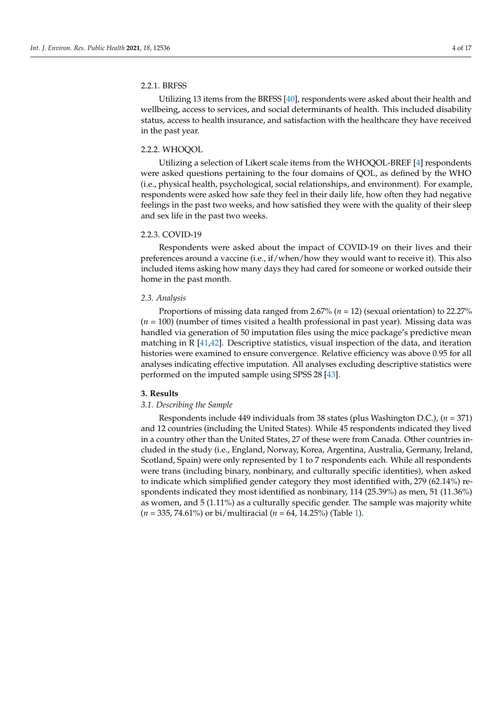### 2.2.1. BRFSS

Utilizing 13 items from the BRFSS [\[40\]](#page-15-11), respondents were asked about their health and wellbeing, access to services, and social determinants of health. This included disability status, access to health insurance, and satisfaction with the healthcare they have received in the past year.

#### 2.2.2. WHOQOL

Utilizing a selection of Likert scale items from the WHOQOL-BREF [\[4\]](#page-14-2) respondents were asked questions pertaining to the four domains of QOL, as defined by the WHO (i.e., physical health, psychological, social relationships, and environment). For example, respondents were asked how safe they feel in their daily life, how often they had negative feelings in the past two weeks, and how satisfied they were with the quality of their sleep and sex life in the past two weeks.

# 2.2.3. COVID-19

Respondents were asked about the impact of COVID-19 on their lives and their preferences around a vaccine (i.e., if/when/how they would want to receive it). This also included items asking how many days they had cared for someone or worked outside their home in the past month.

#### *2.3. Analysis*

Proportions of missing data ranged from 2.67% (*n =* 12) (sexual orientation) to 22.27% (*n =* 100) (number of times visited a health professional in past year). Missing data was handled via generation of 50 imputation files using the mice package's predictive mean matching in  $R$  [\[41,](#page-15-12)[42\]](#page-15-13). Descriptive statistics, visual inspection of the data, and iteration histories were examined to ensure convergence. Relative efficiency was above 0.95 for all analyses indicating effective imputation. All analyses excluding descriptive statistics were performed on the imputed sample using SPSS 28 [\[43\]](#page-15-14).

#### **3. Results**

#### *3.1. Describing the Sample*

Respondents include 449 individuals from 38 states (plus Washington D.C.), (*n =* 371) and 12 countries (including the United States). While 45 respondents indicated they lived in a country other than the United States, 27 of these were from Canada. Other countries included in the study (i.e., England, Norway, Korea, Argentina, Australia, Germany, Ireland, Scotland, Spain) were only represented by 1 to 7 respondents each. While all respondents were trans (including binary, nonbinary, and culturally specific identities), when asked to indicate which simplified gender category they most identified with, 279 (62.14%) respondents indicated they most identified as nonbinary, 114 (25.39%) as men, 51 (11.36%) as women, and 5 (1.11%) as a culturally specific gender. The sample was majority white (*n =* 335, 74.61%) or bi/multiracial (*n =* 64, 14.25%) (Table [1\)](#page-4-0).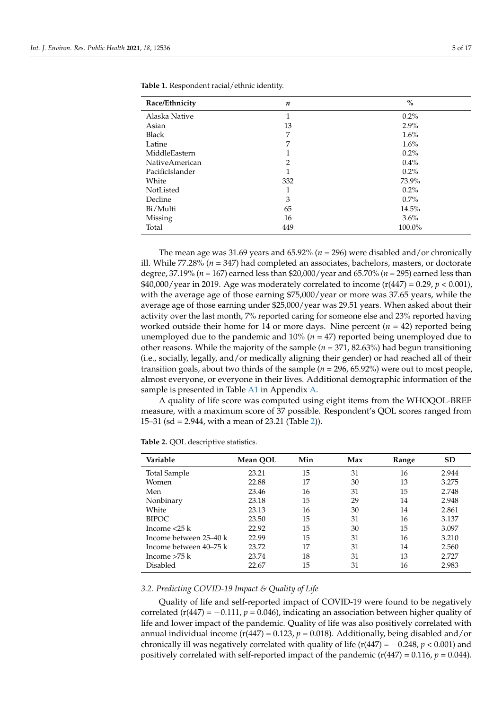| Race/Ethnicity        | $\boldsymbol{n}$ | $\%$    |
|-----------------------|------------------|---------|
| Alaska Native         | 1<br>T           | $0.2\%$ |
| Asian                 | 13               | $2.9\%$ |
| <b>Black</b>          | 7                | 1.6%    |
| Latine                | 7                | 1.6%    |
| MiddleEastern         | 1<br>л.          | $0.2\%$ |
| <b>NativeAmerican</b> | $\overline{2}$   | $0.4\%$ |
| PacificIslander       | 1                | $0.2\%$ |
| White                 | 332              | 73.9%   |
| NotListed             | 1                | $0.2\%$ |
| Decline               | 3                | $0.7\%$ |
| Bi/Multi              | 65               | 14.5%   |
| Missing               | 16               | $3.6\%$ |
| Total                 | 449              | 100.0%  |

<span id="page-4-0"></span>**Table 1.** Respondent racial/ethnic identity.

The mean age was 31.69 years and 65.92% (*n =* 296) were disabled and/or chronically ill. While 77.28% (*n =* 347) had completed an associates, bachelors, masters, or doctorate degree, 37.19% (*n =* 167) earned less than \$20,000/year and 65.70% (*n =* 295) earned less than \$40,000/year in 2019. Age was moderately correlated to income  $(r(447) = 0.29, p < 0.001)$ , with the average age of those earning \$75,000/year or more was 37.65 years, while the average age of those earning under \$25,000/year was 29.51 years. When asked about their activity over the last month, 7% reported caring for someone else and 23% reported having worked outside their home for 14 or more days. Nine percent (*n =* 42) reported being unemployed due to the pandemic and 10% (*n =* 47) reported being unemployed due to other reasons. While the majority of the sample (*n =* 371, 82.63%) had begun transitioning (i.e., socially, legally, and/or medically aligning their gender) or had reached all of their transition goals, about two thirds of the sample (*n =* 296, 65.92%) were out to most people, almost everyone, or everyone in their lives. Additional demographic information of the sample is presented in Table [A1](#page-12-0) in Appendix [A.](#page-12-1)

A quality of life score was computed using eight items from the WHOQOL-BREF measure, with a maximum score of 37 possible. Respondent's QOL scores ranged from 15–31 (sd = 2.944, with a mean of 23.21 (Table [2\)](#page-4-1)).

| Variable               | Mean QOL | Min | Max | Range | <b>SD</b> |
|------------------------|----------|-----|-----|-------|-----------|
| Total Sample           | 23.21    | 15  | 31  | 16    | 2.944     |
| Women                  | 22.88    | 17  | 30  | 13    | 3.275     |
| Men                    | 23.46    | 16  | 31  | 15    | 2.748     |
| Nonbinary              | 23.18    | 15  | 29  | 14    | 2.948     |
| White                  | 23.13    | 16  | 30  | 14    | 2.861     |
| <b>BIPOC</b>           | 23.50    | 15  | 31  | 16    | 3.137     |
| Income $<$ 25 k        | 22.92    | 15  | 30  | 15    | 3.097     |
| Income between 25–40 k | 22.99    | 15  | 31  | 16    | 3.210     |
| Income between 40–75 k | 23.72    | 17  | 31  | 14    | 2.560     |
| Income $>75$ k         | 23.74    | 18  | 31  | 13    | 2.727     |
| Disabled               | 22.67    | 15  | 31  | 16    | 2.983     |

<span id="page-4-1"></span>**Table 2.** QOL descriptive statistics.

### *3.2. Predicting COVID-19 Impact & Quality of Life*

Quality of life and self-reported impact of COVID-19 were found to be negatively correlated ( $r(447) = -0.111$ ,  $p = 0.046$ ), indicating an association between higher quality of life and lower impact of the pandemic. Quality of life was also positively correlated with annual individual income ( $r(447) = 0.123$ ,  $p = 0.018$ ). Additionally, being disabled and/or chronically ill was negatively correlated with quality of life  $(r(447) = -0.248, p < 0.001)$  and positively correlated with self-reported impact of the pandemic ( $r(447) = 0.116$ ,  $p = 0.044$ ).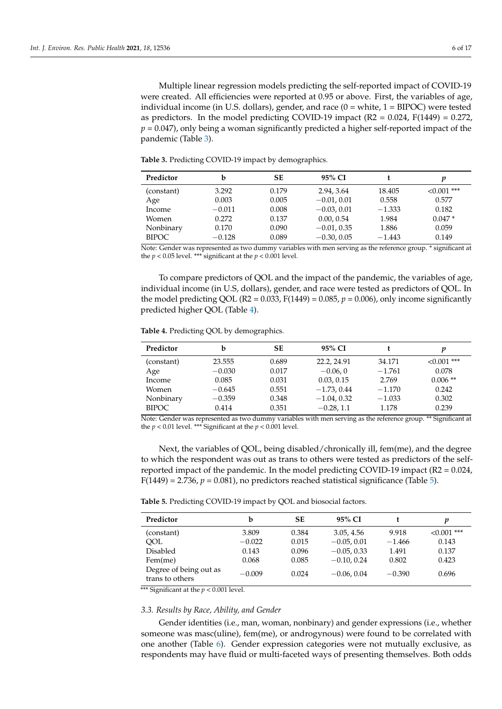Multiple linear regression models predicting the self-reported impact of COVID-19 were created. All efficiencies were reported at 0.95 or above. First, the variables of age, individual income (in U.S. dollars), gender, and race  $(0 = \text{white}, 1 = \text{BIPOC})$  were tested as predictors. In the model predicting COVID-19 impact  $(R2 = 0.024, F(1449) = 0.272$ , *p* = 0.047), only being a woman significantly predicted a higher self-reported impact of the pandemic (Table [3\)](#page-5-0).

<span id="page-5-0"></span>**Table 3.** Predicting COVID-19 impact by demographics.

| Predictor    | b        | <b>SE</b> | 95% CI                                                                                                                                                     |          | v            |
|--------------|----------|-----------|------------------------------------------------------------------------------------------------------------------------------------------------------------|----------|--------------|
| (constant)   | 3.292    | 0.179     | 2.94, 3.64                                                                                                                                                 | 18.405   | $<0.001$ *** |
| Age          | 0.003    | 0.005     | $-0.01, 0.01$                                                                                                                                              | 0.558    | 0.577        |
| Income       | $-0.011$ | 0.008     | $-0.03, 0.01$                                                                                                                                              | $-1.333$ | 0.182        |
| Women        | 0.272    | 0.137     | 0.00, 0.54                                                                                                                                                 | 1.984    | $0.047*$     |
| Nonbinary    | 0.170    | 0.090     | $-0.01, 0.35$                                                                                                                                              | 1.886    | 0.059        |
| <b>BIPOC</b> | $-0.128$ | 0.089     | $-0.30, 0.05$<br>$\mathbf{M}$ is a set of $\mathbf{M}$ is a set of $\mathbf{M}$ is a set of $\mathbf{M}$ is a set of $\mathbf{M}$ is a set of $\mathbf{M}$ | $-1.443$ | 0.149        |

Note: Gender was represented as two dummy variables with men serving as the reference group. \* significant at the  $p < 0.05$  level. \*\*\* significant at the  $p < 0.001$  level.

To compare predictors of QOL and the impact of the pandemic, the variables of age, individual income (in U.S, dollars), gender, and race were tested as predictors of QOL. In the model predicting QOL (R2 = 0.033, F(1449) = 0.085,  $p = 0.006$ ), only income significantly predicted higher QOL (Table [4\)](#page-5-1).

<span id="page-5-1"></span>**Table 4.** Predicting QOL by demographics.

| Predictor    | b        | SЕ    | 95% CI        |          | v            |
|--------------|----------|-------|---------------|----------|--------------|
| (constant)   | 23.555   | 0.689 | 22.2, 24.91   | 34.171   | $<0.001$ *** |
| Age          | $-0.030$ | 0.017 | $-0.06, 0$    | $-1.761$ | 0.078        |
| Income       | 0.085    | 0.031 | 0.03, 0.15    | 2.769    | $0.006$ **   |
| Women        | $-0.645$ | 0.551 | $-1.73, 0.44$ | $-1.170$ | 0.242        |
| Nonbinary    | $-0.359$ | 0.348 | $-1.04, 0.32$ | $-1.033$ | 0.302        |
| <b>BIPOC</b> | 0.414    | 0.351 | $-0.28$ , 1.1 | 1.178    | 0.239        |

Note: Gender was represented as two dummy variables with men serving as the reference group. \*\* Significant at the  $p < 0.01$  level. \*\*\* Significant at the  $p < 0.001$  level.

Next, the variables of QOL, being disabled/chronically ill, fem(me), and the degree to which the respondent was out as trans to others were tested as predictors of the selfreported impact of the pandemic. In the model predicting COVID-19 impact (R2 = 0.024,  $F(1449) = 2.736$ ,  $p = 0.081$ ), no predictors reached statistical significance (Table [5\)](#page-5-2).

<span id="page-5-2"></span>

| Predictor                                 | b        | SЕ    | $95\%$ CI     |          | v            |
|-------------------------------------------|----------|-------|---------------|----------|--------------|
| (constant)                                | 3.809    | 0.384 | 3.05, 4.56    | 9.918    | $<0.001$ *** |
| OOL                                       | $-0.022$ | 0.015 | $-0.05, 0.01$ | $-1.466$ | 0.143        |
| <b>Disabled</b>                           | 0.143    | 0.096 | $-0.05, 0.33$ | 1.491    | 0.137        |
| Fem(me)                                   | 0.068    | 0.085 | $-0.10, 0.24$ | 0.802    | 0.423        |
| Degree of being out as<br>trans to others | $-0.009$ | 0.024 | $-0.06, 0.04$ | $-0.390$ | 0.696        |

\*\*\* Significant at the  $p < 0.001$  level.

#### *3.3. Results by Race, Ability, and Gender*

Gender identities (i.e., man, woman, nonbinary) and gender expressions (i.e., whether someone was masc(uline), fem(me), or androgynous) were found to be correlated with one another (Table [6\)](#page-6-0). Gender expression categories were not mutually exclusive, as respondents may have fluid or multi-faceted ways of presenting themselves. Both odds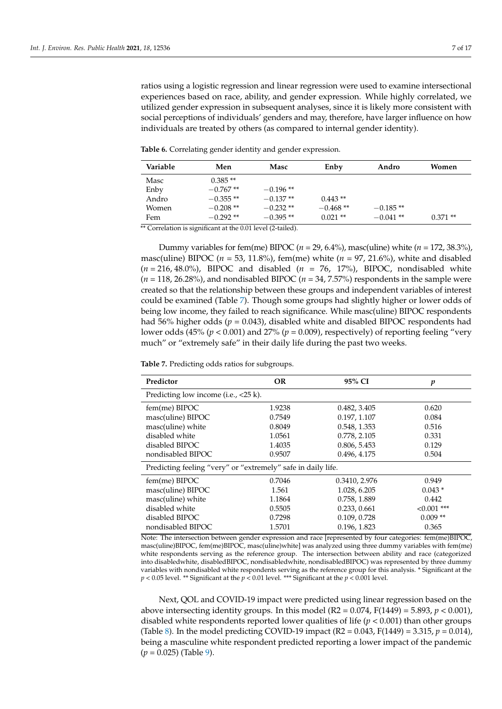ratios using a logistic regression and linear regression were used to examine intersectional experiences based on race, ability, and gender expression. While highly correlated, we utilized gender expression in subsequent analyses, since it is likely more consistent with social perceptions of individuals' genders and may, therefore, have larger influence on how individuals are treated by others (as compared to internal gender identity).

| Variable | Men        | Masc       | Enby       | Andro      | Women     |
|----------|------------|------------|------------|------------|-----------|
| Masc     | $0.385**$  |            |            |            |           |
| Enby     | $-0.767**$ | $-0.196**$ |            |            |           |
| Andro    | $-0.355**$ | $-0.137**$ | $0.443**$  |            |           |
| Women    | $-0.208**$ | $-0.232**$ | $-0.468**$ | $-0.185**$ |           |
| Fem      | $-0.292**$ | $-0.395**$ | $0.021$ ** | $-0.041**$ | $0.371**$ |

<span id="page-6-0"></span>**Table 6.** Correlating gender identity and gender expression.

\*\* Correlation is significant at the 0.01 level (2-tailed).

Dummy variables for fem(me) BIPOC ( $n = 29, 6.4\%$ ), masc(uline) white ( $n = 172, 38.3\%$ ), masc(uline) BIPOC (*n =* 53, 11.8%), fem(me) white (*n =* 97, 21.6%), white and disabled (*n =* 216, 48.0%), BIPOC and disabled (*n =* 76, 17%), BIPOC, nondisabled white (*n =* 118, 26.28%), and nondisabled BIPOC (*n =* 34, 7.57%) respondents in the sample were created so that the relationship between these groups and independent variables of interest could be examined (Table [7\)](#page-6-1). Though some groups had slightly higher or lower odds of being low income, they failed to reach significance. While masc(uline) BIPOC respondents had 56% higher odds ( $p = 0.043$ ), disabled white and disabled BIPOC respondents had lower odds (45% (*p* < 0.001) and 27% (*p* = 0.009), respectively) of reporting feeling "very much" or "extremely safe" in their daily life during the past two weeks.

<span id="page-6-1"></span>**Table 7.** Predicting odds ratios for subgroups.

| Predictor                                                      | <b>OR</b> | 95% CI        | p             |  |  |  |  |  |
|----------------------------------------------------------------|-----------|---------------|---------------|--|--|--|--|--|
| Predicting low income (i.e., $\langle 25 \text{ k} \rangle$ ). |           |               |               |  |  |  |  |  |
| fem(me) BIPOC                                                  | 1.9238    | 0.482, 3.405  | 0.620         |  |  |  |  |  |
| masc(uline) BIPOC                                              | 0.7549    | 0.197, 1.107  | 0.084         |  |  |  |  |  |
| masc(uline) white                                              | 0.8049    | 0.548, 1.353  | 0.516         |  |  |  |  |  |
| disabled white                                                 | 1.0561    | 0.778, 2.105  | 0.331         |  |  |  |  |  |
| disabled BIPOC                                                 | 1.4035    | 0.806, 5.453  | 0.129         |  |  |  |  |  |
| nondisabled BIPOC                                              | 0.9507    | 0.496, 4.175  |               |  |  |  |  |  |
| Predicting feeling "very" or "extremely" safe in daily life.   |           |               |               |  |  |  |  |  |
| fem(me) BIPOC                                                  | 0.7046    | 0.3410, 2.976 | 0.949         |  |  |  |  |  |
| masc(uline) BIPOC                                              | 1.561     | 1.028, 6.205  | $0.043*$      |  |  |  |  |  |
| masc(uline) white                                              | 1.1864    | 0.758, 1.889  | 0.442         |  |  |  |  |  |
| disabled white                                                 | 0.5505    | 0.233, 0.661  | $< 0.001$ *** |  |  |  |  |  |
| disabled BIPOC                                                 | 0.7298    | 0.109, 0.728  | $0.009**$     |  |  |  |  |  |
| nondisabled BIPOC                                              | 1.5701    | 0.196, 1.823  | 0.365         |  |  |  |  |  |

Note: The intersection between gender expression and race [represented by four categories: fem(me)BIPOC, masc(uline)BIPOC, fem(me)BIPOC, masc(uline)white] was analyzed using three dummy variables with fem(me) white respondents serving as the reference group. The intersection between ability and race (categorized into disabledwhite, disabledBIPOC, nondisabledwhite, nondisabledBIPOC) was represented by three dummy variables with nondisabled white respondents serving as the reference group for this analysis. \* Significant at the *p* < 0.05 level. \*\* Significant at the *p* < 0.01 level. \*\*\* Significant at the *p* < 0.001 level.

Next, QOL and COVID-19 impact were predicted using linear regression based on the above intersecting identity groups. In this model  $(R2 = 0.074, F(1449) = 5.893, p < 0.001)$ , disabled white respondents reported lower qualities of life ( $p < 0.001$ ) than other groups (Table [8\)](#page-7-0). In the model predicting COVID-19 impact (R2 =  $0.043$ , F(1449) =  $3.315$ ,  $p = 0.014$ ), being a masculine white respondent predicted reporting a lower impact of the pandemic (*p* = 0.025) (Table [9\)](#page-7-1).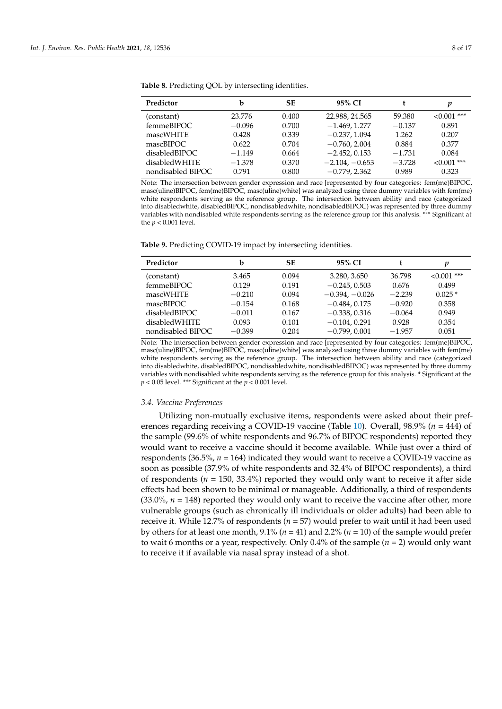| Predictor          | h        | <b>SE</b> | 95% CI           |          | p            |
|--------------------|----------|-----------|------------------|----------|--------------|
| (constant)         | 23.776   | 0.400     | 22.988, 24.565   | 59.380   | $<0.001$ *** |
| femmeBIPOC         | $-0.096$ | 0.700     | $-1.469, 1.277$  | $-0.137$ | 0.891        |
| mascWHITE          | 0.428    | 0.339     | $-0.237, 1.094$  | 1.262    | 0.207        |
| mascBIPOC          | 0.622    | 0.704     | $-0.760, 2.004$  | 0.884    | 0.377        |
| disabledBIPOC      | $-1.149$ | 0.664     | $-2.452, 0.153$  | $-1.731$ | 0.084        |
| disabledWHITE      | $-1.378$ | 0.370     | $-2.104, -0.653$ | $-3.728$ | $<0.001$ *** |
| nondisabled BIPOC- | 0.791    | 0.800     | $-0.779, 2.362$  | 0.989    | 0.323        |
|                    |          |           |                  |          |              |

<span id="page-7-0"></span>**Table 8.** Predicting QOL by intersecting identities.

Note: The intersection between gender expression and race [represented by four categories: fem(me)BIPOC, masc(uline)BIPOC, fem(me)BIPOC, masc(uline)white] was analyzed using three dummy variables with fem(me) white respondents serving as the reference group. The intersection between ability and race (categorized into disabledwhite, disabledBIPOC, nondisabledwhite, nondisabledBIPOC) was represented by three dummy variables with nondisabled white respondents serving as the reference group for this analysis. \*\*\* Significant at the *p* < 0.001 level.

<span id="page-7-1"></span>**Table 9.** Predicting COVID-19 impact by intersecting identities.

| Predictor         | b        | SЕ    | 95% CI           |          | p            |
|-------------------|----------|-------|------------------|----------|--------------|
| (constant)        | 3.465    | 0.094 | 3.280, 3.650     | 36.798   | $<0.001$ *** |
| femmeBIPOC        | 0.129    | 0.191 | $-0.245, 0.503$  | 0.676    | 0.499        |
| mascWHITE         | $-0.210$ | 0.094 | $-0.394, -0.026$ | $-2.239$ | $0.025*$     |
| mascBIPOC         | $-0.154$ | 0.168 | $-0.484, 0.175$  | $-0.920$ | 0.358        |
| disabledBIPOC     | $-0.011$ | 0.167 | $-0.338, 0.316$  | $-0.064$ | 0.949        |
| disabledWHITE     | 0.093    | 0.101 | $-0.104, 0.291$  | 0.928    | 0.354        |
| nondisabled BIPOC | $-0.399$ | 0.204 | $-0.799, 0.001$  | $-1.957$ | 0.051        |

Note: The intersection between gender expression and race [represented by four categories: fem(me)BIPOC, masc(uline)BIPOC, fem(me)BIPOC, masc(uline)white] was analyzed using three dummy variables with fem(me) white respondents serving as the reference group. The intersection between ability and race (categorized into disabledwhite, disabledBIPOC, nondisabledwhite, nondisabledBIPOC) was represented by three dummy variables with nondisabled white respondents serving as the reference group for this analysis. \* Significant at the *p* < 0.05 level. \*\*\* Significant at the *p* < 0.001 level.

#### *3.4. Vaccine Preferences*

Utilizing non-mutually exclusive items, respondents were asked about their preferences regarding receiving a COVID-19 vaccine (Table [10\)](#page-8-0). Overall, 98.9% (*n =* 444) of the sample (99.6% of white respondents and 96.7% of BIPOC respondents) reported they would want to receive a vaccine should it become available. While just over a third of respondents (36.5%, *n =* 164) indicated they would want to receive a COVID-19 vaccine as soon as possible (37.9% of white respondents and 32.4% of BIPOC respondents), a third of respondents ( $n = 150, 33.4\%$ ) reported they would only want to receive it after side effects had been shown to be minimal or manageable. Additionally, a third of respondents  $(33.0\%, n = 148)$  reported they would only want to receive the vaccine after other, more vulnerable groups (such as chronically ill individuals or older adults) had been able to receive it. While 12.7% of respondents (*n =* 57) would prefer to wait until it had been used by others for at least one month, 9.1% (*n =* 41) and 2.2% (*n =* 10) of the sample would prefer to wait 6 months or a year, respectively. Only 0.4% of the sample (*n =* 2) would only want to receive it if available via nasal spray instead of a shot.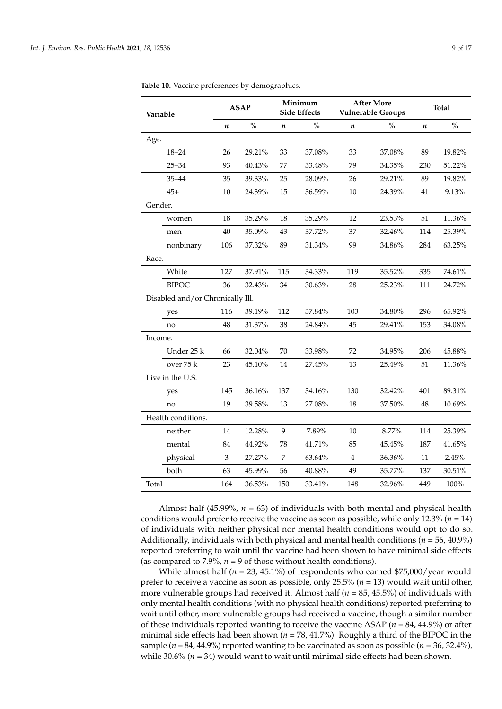| Variable           |                                  |                  | <b>ASAP</b> |                  | Minimum<br><b>Side Effects</b>     |                  | <b>After More</b><br><b>Vulnerable Groups</b> | <b>Total</b> |               |  |
|--------------------|----------------------------------|------------------|-------------|------------------|------------------------------------|------------------|-----------------------------------------------|--------------|---------------|--|
|                    |                                  | $\boldsymbol{n}$ | $\%$        | $\boldsymbol{n}$ | $\mathbf{O}_{\mathbf{O}}^{\prime}$ | $\boldsymbol{n}$ | $\%$                                          | n            | $\frac{1}{2}$ |  |
| Age.               |                                  |                  |             |                  |                                    |                  |                                               |              |               |  |
|                    | $18 - 24$                        | 26               | 29.21%      | 33               | 37.08%                             | 33               | 37.08%                                        | 89           | 19.82%        |  |
|                    | $25 - 34$                        | 93               | 40.43%      | 77               | 33.48%                             | 79               | 34.35%                                        | 230          | 51.22%        |  |
|                    | $35 - 44$                        | 35               | 39.33%      | 25               | 28.09%                             | 26               | 29.21%                                        | 89           | 19.82%        |  |
|                    | $45+$                            | 10               | 24.39%      | 15               | 36.59%                             | 10               | 24.39%                                        | 41           | 9.13%         |  |
| Gender.            |                                  |                  |             |                  |                                    |                  |                                               |              |               |  |
|                    | women                            | 18               | 35.29%      | 18               | 35.29%                             | 12               | 23.53%                                        | 51           | 11.36%        |  |
|                    | men                              | 40               | 35.09%      | 43               | 37.72%                             | 37               | 32.46%                                        | 114          | 25.39%        |  |
|                    | nonbinary                        | 106              | 37.32%      | 89               | 31.34%                             | 99               | 34.86%                                        | 284          | 63.25%        |  |
| Race.              |                                  |                  |             |                  |                                    |                  |                                               |              |               |  |
|                    | White                            | 127              | 37.91%      | 115              | 34.33%                             | 119              | 35.52%                                        | 335          | 74.61%        |  |
|                    | <b>BIPOC</b>                     | 36               | 32.43%      | 34               | 30.63%                             | 28               | 25.23%                                        | 111          | 24.72%        |  |
|                    | Disabled and/or Chronically Ill. |                  |             |                  |                                    |                  |                                               |              |               |  |
|                    | yes                              | 116              | 39.19%      | 112              | 37.84%                             | 103              | 34.80%                                        | 296          | 65.92%        |  |
|                    | no                               | 48               | 31.37%      | 38               | 24.84%                             | 45               | 29.41%                                        | 153          | 34.08%        |  |
| Income.            |                                  |                  |             |                  |                                    |                  |                                               |              |               |  |
|                    | Under 25 k                       | 66               | 32.04%      | 70               | 33.98%                             | 72               | 34.95%                                        | 206          | 45.88%        |  |
|                    | over 75 k                        | 23               | 45.10%      | 14               | 27.45%                             | 13               | 25.49%                                        | 51           | 11.36%        |  |
|                    | Live in the U.S.                 |                  |             |                  |                                    |                  |                                               |              |               |  |
|                    | yes                              | 145              | 36.16%      | 137              | 34.16%                             | 130              | 32.42%                                        | 401          | 89.31%        |  |
|                    | no                               | 19               | 39.58%      | 13               | 27.08%                             | 18               | 37.50%                                        | 48           | 10.69%        |  |
| Health conditions. |                                  |                  |             |                  |                                    |                  |                                               |              |               |  |
|                    | neither                          | 14               | 12.28%      | 9                | 7.89%                              | 10               | 8.77%                                         | 114          | 25.39%        |  |
|                    | mental                           | 84               | 44.92%      | 78               | 41.71%                             | 85               | 45.45%                                        | 187          | 41.65%        |  |
|                    | physical                         | 3                | 27.27%      | $\overline{7}$   | 63.64%                             | 4                | 36.36%                                        | 11           | 2.45%         |  |
|                    | both                             | 63               | 45.99%      | 56               | 40.88%                             | 49               | 35.77%                                        | 137          | 30.51%        |  |
| Total              |                                  | 164              | 36.53%      | 150              | 33.41%                             | 148              | 32.96%                                        | 449          | 100%          |  |

<span id="page-8-0"></span>**Table 10.** Vaccine preferences by demographics.

Almost half (45.99%, *n =* 63) of individuals with both mental and physical health conditions would prefer to receive the vaccine as soon as possible, while only 12.3% (*n =* 14) of individuals with neither physical nor mental health conditions would opt to do so. Additionally, individuals with both physical and mental health conditions (*n =* 56, 40.9%) reported preferring to wait until the vaccine had been shown to have minimal side effects (as compared to 7.9%,  $n = 9$  of those without health conditions).

While almost half ( $n = 23, 45.1\%$ ) of respondents who earned \$75,000/year would prefer to receive a vaccine as soon as possible, only 25.5% (*n* = 13) would wait until other, more vulnerable groups had received it. Almost half (*n =* 85, 45.5%) of individuals with only mental health conditions (with no physical health conditions) reported preferring to wait until other, more vulnerable groups had received a vaccine, though a similar number of these individuals reported wanting to receive the vaccine ASAP (*n =* 84, 44.9%) or after minimal side effects had been shown (*n =* 78, 41.7%). Roughly a third of the BIPOC in the sample  $(n = 84, 44.9\%)$  reported wanting to be vaccinated as soon as possible  $(n = 36, 32.4\%)$ , while 30.6% (*n =* 34) would want to wait until minimal side effects had been shown.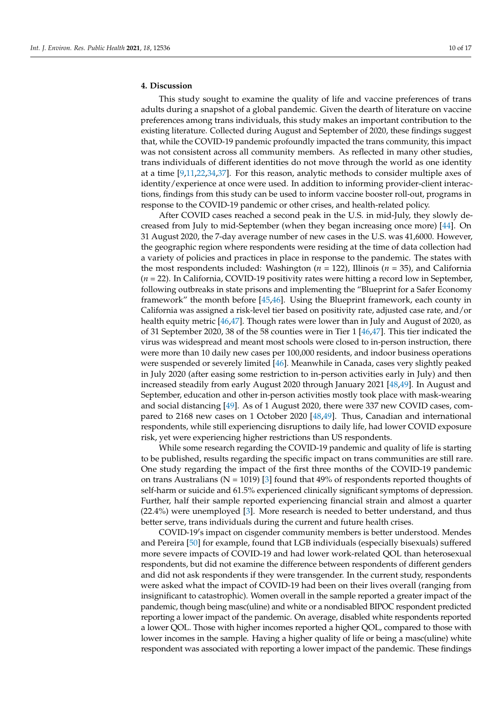# **4. Discussion**

This study sought to examine the quality of life and vaccine preferences of trans adults during a snapshot of a global pandemic. Given the dearth of literature on vaccine preferences among trans individuals, this study makes an important contribution to the existing literature. Collected during August and September of 2020, these findings suggest that, while the COVID-19 pandemic profoundly impacted the trans community, this impact was not consistent across all community members. As reflected in many other studies, trans individuals of different identities do not move through the world as one identity at a time [\[9](#page-14-21)[,11](#page-14-7)[,22](#page-14-15)[,34](#page-15-5)[,37\]](#page-15-8). For this reason, analytic methods to consider multiple axes of identity/experience at once were used. In addition to informing provider-client interactions, findings from this study can be used to inform vaccine booster roll-out, programs in response to the COVID-19 pandemic or other crises, and health-related policy.

After COVID cases reached a second peak in the U.S. in mid-July, they slowly decreased from July to mid-September (when they began increasing once more) [\[44\]](#page-15-15). On 31 August 2020, the 7-day average number of new cases in the U.S. was 41,6000. However, the geographic region where respondents were residing at the time of data collection had a variety of policies and practices in place in response to the pandemic. The states with the most respondents included: Washington (*n* = 122), Illinois (*n* = 35), and California (*n* = 22). In California, COVID-19 positivity rates were hitting a record low in September, following outbreaks in state prisons and implementing the "Blueprint for a Safer Economy framework" the month before [\[45](#page-15-16)[,46\]](#page-15-17). Using the Blueprint framework, each county in California was assigned a risk-level tier based on positivity rate, adjusted case rate, and/or health equity metric [\[46,](#page-15-17)[47\]](#page-15-18). Though rates were lower than in July and August of 2020, as of 31 September 2020, 38 of the 58 counties were in Tier 1 [\[46](#page-15-17)[,47\]](#page-15-18). This tier indicated the virus was widespread and meant most schools were closed to in-person instruction, there were more than 10 daily new cases per 100,000 residents, and indoor business operations were suspended or severely limited [\[46\]](#page-15-17). Meanwhile in Canada, cases very slightly peaked in July 2020 (after easing some restriction to in-person activities early in July) and then increased steadily from early August 2020 through January 2021 [\[48,](#page-15-19)[49\]](#page-15-20). In August and September, education and other in-person activities mostly took place with mask-wearing and social distancing [\[49\]](#page-15-20). As of 1 August 2020, there were 337 new COVID cases, compared to 2168 new cases on 1 October 2020 [\[48,](#page-15-19)[49\]](#page-15-20). Thus, Canadian and international respondents, while still experiencing disruptions to daily life, had lower COVID exposure risk, yet were experiencing higher restrictions than US respondents.

While some research regarding the COVID-19 pandemic and quality of life is starting to be published, results regarding the specific impact on trans communities are still rare. One study regarding the impact of the first three months of the COVID-19 pandemic on trans Australians ( $N = 1019$ ) [\[3\]](#page-14-1) found that 49% of respondents reported thoughts of self-harm or suicide and 61.5% experienced clinically significant symptoms of depression. Further, half their sample reported experiencing financial strain and almost a quarter (22.4%) were unemployed [\[3\]](#page-14-1). More research is needed to better understand, and thus better serve, trans individuals during the current and future health crises.

COVID-19's impact on cisgender community members is better understood. Mendes and Pereira [\[50\]](#page-15-21) for example, found that LGB individuals (especially bisexuals) suffered more severe impacts of COVID-19 and had lower work-related QOL than heterosexual respondents, but did not examine the difference between respondents of different genders and did not ask respondents if they were transgender. In the current study, respondents were asked what the impact of COVID-19 had been on their lives overall (ranging from insignificant to catastrophic). Women overall in the sample reported a greater impact of the pandemic, though being masc(uline) and white or a nondisabled BIPOC respondent predicted reporting a lower impact of the pandemic. On average, disabled white respondents reported a lower QOL. Those with higher incomes reported a higher QOL, compared to those with lower incomes in the sample. Having a higher quality of life or being a masc(uline) white respondent was associated with reporting a lower impact of the pandemic. These findings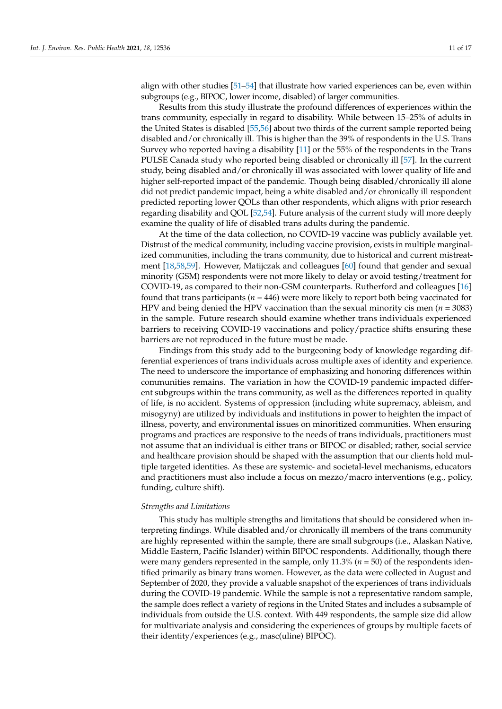align with other studies [\[51–](#page-15-22)[54\]](#page-15-23) that illustrate how varied experiences can be, even within subgroups (e.g., BIPOC, lower income, disabled) of larger communities.

Results from this study illustrate the profound differences of experiences within the trans community, especially in regard to disability. While between 15–25% of adults in the United States is disabled [\[55](#page-15-24)[,56\]](#page-15-25) about two thirds of the current sample reported being disabled and/or chronically ill. This is higher than the 39% of respondents in the U.S. Trans Survey who reported having a disability [\[11\]](#page-14-7) or the 55% of the respondents in the Trans PULSE Canada study who reported being disabled or chronically ill [\[57\]](#page-16-0). In the current study, being disabled and/or chronically ill was associated with lower quality of life and higher self-reported impact of the pandemic. Though being disabled/chronically ill alone did not predict pandemic impact, being a white disabled and/or chronically ill respondent predicted reporting lower QOLs than other respondents, which aligns with prior research regarding disability and QOL [\[52,](#page-15-26)[54\]](#page-15-23). Future analysis of the current study will more deeply examine the quality of life of disabled trans adults during the pandemic.

At the time of the data collection, no COVID-19 vaccine was publicly available yet. Distrust of the medical community, including vaccine provision, exists in multiple marginalized communities, including the trans community, due to historical and current mistreatment [\[18,](#page-14-22)[58,](#page-16-1)[59\]](#page-16-2). However, Matijczak and colleagues [\[60\]](#page-16-3) found that gender and sexual minority (GSM) respondents were not more likely to delay or avoid testing/treatment for COVID-19, as compared to their non-GSM counterparts. Rutherford and colleagues [\[16\]](#page-14-9) found that trans participants (*n =* 446) were more likely to report both being vaccinated for HPV and being denied the HPV vaccination than the sexual minority cis men (*n =* 3083) in the sample. Future research should examine whether trans individuals experienced barriers to receiving COVID-19 vaccinations and policy/practice shifts ensuring these barriers are not reproduced in the future must be made.

Findings from this study add to the burgeoning body of knowledge regarding differential experiences of trans individuals across multiple axes of identity and experience. The need to underscore the importance of emphasizing and honoring differences within communities remains. The variation in how the COVID-19 pandemic impacted different subgroups within the trans community, as well as the differences reported in quality of life, is no accident. Systems of oppression (including white supremacy, ableism, and misogyny) are utilized by individuals and institutions in power to heighten the impact of illness, poverty, and environmental issues on minoritized communities. When ensuring programs and practices are responsive to the needs of trans individuals, practitioners must not assume that an individual is either trans or BIPOC or disabled; rather, social service and healthcare provision should be shaped with the assumption that our clients hold multiple targeted identities. As these are systemic- and societal-level mechanisms, educators and practitioners must also include a focus on mezzo/macro interventions (e.g., policy, funding, culture shift).

#### *Strengths and Limitations*

This study has multiple strengths and limitations that should be considered when interpreting findings. While disabled and/or chronically ill members of the trans community are highly represented within the sample, there are small subgroups (i.e., Alaskan Native, Middle Eastern, Pacific Islander) within BIPOC respondents. Additionally, though there were many genders represented in the sample, only 11.3% (*n =* 50) of the respondents identified primarily as binary trans women. However, as the data were collected in August and September of 2020, they provide a valuable snapshot of the experiences of trans individuals during the COVID-19 pandemic. While the sample is not a representative random sample, the sample does reflect a variety of regions in the United States and includes a subsample of individuals from outside the U.S. context. With 449 respondents, the sample size did allow for multivariate analysis and considering the experiences of groups by multiple facets of their identity/experiences (e.g., masc(uline) BIPOC).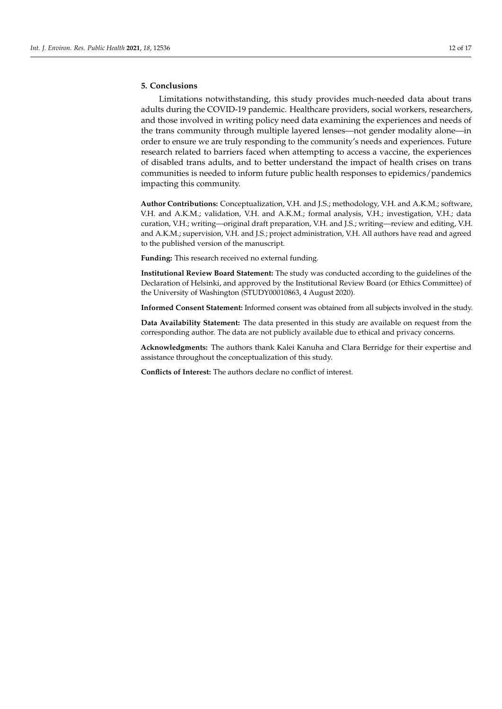# **5. Conclusions**

Limitations notwithstanding, this study provides much-needed data about trans adults during the COVID-19 pandemic. Healthcare providers, social workers, researchers, and those involved in writing policy need data examining the experiences and needs of the trans community through multiple layered lenses—not gender modality alone—in order to ensure we are truly responding to the community's needs and experiences. Future research related to barriers faced when attempting to access a vaccine, the experiences of disabled trans adults, and to better understand the impact of health crises on trans communities is needed to inform future public health responses to epidemics/pandemics impacting this community.

**Author Contributions:** Conceptualization, V.H. and J.S.; methodology, V.H. and A.K.M.; software, V.H. and A.K.M.; validation, V.H. and A.K.M.; formal analysis, V.H.; investigation, V.H.; data curation, V.H.; writing—original draft preparation, V.H. and J.S.; writing—review and editing, V.H. and A.K.M.; supervision, V.H. and J.S.; project administration, V.H. All authors have read and agreed to the published version of the manuscript.

**Funding:** This research received no external funding.

**Institutional Review Board Statement:** The study was conducted according to the guidelines of the Declaration of Helsinki, and approved by the Institutional Review Board (or Ethics Committee) of the University of Washington (STUDY00010863, 4 August 2020).

**Informed Consent Statement:** Informed consent was obtained from all subjects involved in the study.

**Data Availability Statement:** The data presented in this study are available on request from the corresponding author. The data are not publicly available due to ethical and privacy concerns.

**Acknowledgments:** The authors thank Kalei Kanuha and Clara Berridge for their expertise and assistance throughout the conceptualization of this study.

**Conflicts of Interest:** The authors declare no conflict of interest.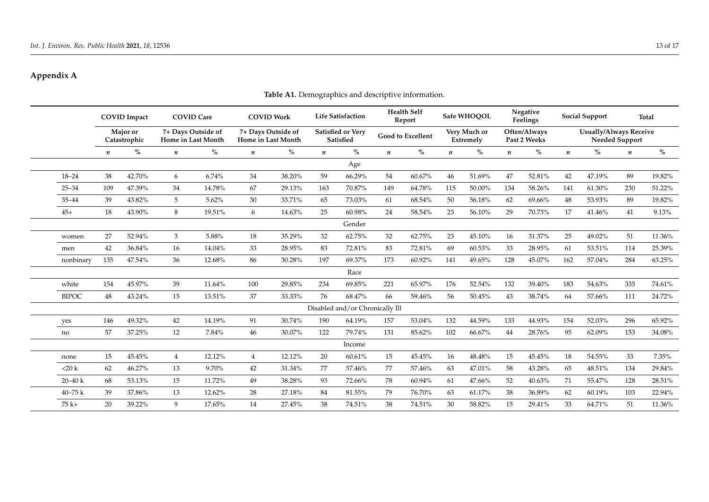# **Appendix A**

<span id="page-12-1"></span><span id="page-12-0"></span>

|              | <b>COVID Impact</b><br><b>Maior</b> or<br>Catastrophic |        |                  | <b>COVID Care</b>                        |                                          | <b>COVID Work</b> |                  | <b>Life Satisfaction</b>              |                  | <b>Health Self</b><br>Report |                  | Safe WHOOOL               |                  | Negative<br>Feelings         |                                                 | <b>Social Support</b> |                  | Total  |
|--------------|--------------------------------------------------------|--------|------------------|------------------------------------------|------------------------------------------|-------------------|------------------|---------------------------------------|------------------|------------------------------|------------------|---------------------------|------------------|------------------------------|-------------------------------------------------|-----------------------|------------------|--------|
|              |                                                        |        |                  | 7+ Days Outside of<br>Home in Last Month | 7+ Days Outside of<br>Home in Last Month |                   |                  | Satisfied or Very<br><b>Satisfied</b> |                  | <b>Good to Excellent</b>     |                  | Very Much or<br>Extremely |                  | Often/Always<br>Past 2 Weeks | <b>Usually/Always Receive</b><br>Needed Support |                       |                  |        |
|              | n                                                      | $\%$   | $\boldsymbol{n}$ | $\%$                                     | $\boldsymbol{n}$                         | $\%$              | $\boldsymbol{n}$ | $\%$                                  | $\boldsymbol{n}$ | $\%$                         | $\boldsymbol{n}$ | $\%$                      | $\boldsymbol{n}$ | $\%$                         | $\boldsymbol{n}$                                | $\%$                  | $\boldsymbol{n}$ | $\%$   |
|              |                                                        |        |                  |                                          |                                          |                   |                  | Age                                   |                  |                              |                  |                           |                  |                              |                                                 |                       |                  |        |
| $18 - 24$    | 38                                                     | 42.70% | 6                | 6.74%                                    | 34                                       | 38.20%            | 59               | 66.29%                                | 54               | 60.67%                       | 46               | 51.69%                    | 47               | 52.81%                       | 42                                              | 47.19%                | 89               | 19.82% |
| $25 - 34$    | 109                                                    | 47.39% | 34               | 14.78%                                   | 67                                       | 29.13%            | 163              | 70.87%                                | 149              | 64.78%                       | 115              | 50.00%                    | 134              | 58.26%                       | 141                                             | 61.30%                | 230              | 51.22% |
| $35 - 44$    | 39                                                     | 43.82% | 5                | 5.62%                                    | 30                                       | 33.71%            | 65               | 73.03%                                | 61               | 68.54%                       | 50               | 56.18%                    | 62               | 69.66%                       | 48                                              | 53.93%                | 89               | 19.82% |
| $45+$        | 18                                                     | 43.90% | 8                | 19.51%                                   | 6                                        | 14.63%            | 25               | 60.98%                                | 24               | 58.54%                       | 23               | 56.10%                    | 29               | 70.73%                       | 17                                              | 41.46%                | 41               | 9.13%  |
|              |                                                        |        |                  |                                          |                                          |                   |                  | Gender                                |                  |                              |                  |                           |                  |                              |                                                 |                       |                  |        |
| women        | 27                                                     | 52.94% | 3                | 5.88%                                    | 18                                       | 35.29%            | 32               | 62.75%                                | 32               | 62.75%                       | 23               | 45.10%                    | 16               | 31.37%                       | 25                                              | 49.02%                | 51               | 11.36% |
| men          | 42                                                     | 36.84% | 16               | 14.04%                                   | 33                                       | 28.95%            | 83               | 72.81%                                | 83               | 72.81%                       | 69               | 60.53%                    | 33               | 28.95%                       | 61                                              | 53.51%                | 114              | 25.39% |
| nonbinary    | 135                                                    | 47.54% | 36               | 12.68%                                   | 86                                       | 30.28%            | 197              | 69.37%                                | 173              | 60.92%                       | 141              | 49.65%                    | 128              | 45.07%                       | 162                                             | 57.04%                | 284              | 63.25% |
|              |                                                        |        |                  |                                          |                                          |                   |                  | Race                                  |                  |                              |                  |                           |                  |                              |                                                 |                       |                  |        |
| white        | 154                                                    | 45.97% | 39               | 11.64%                                   | 100                                      | 29.85%            | 234              | 69.85%                                | 221              | 65.97%                       | 176              | 52.54%                    | 132              | 39.40%                       | 183                                             | 54.63%                | 335              | 74.61% |
| <b>BIPOC</b> | 48                                                     | 43.24% | 15               | 13.51%                                   | 37                                       | 33.33%            | 76               | 68.47%                                | 66               | 59.46%                       | 56               | 50.45%                    | 43               | 38.74%                       | 64                                              | 57.66%                | 111              | 24.72% |
|              |                                                        |        |                  |                                          |                                          |                   |                  | Disabled and/or Chronically Ill       |                  |                              |                  |                           |                  |                              |                                                 |                       |                  |        |
| yes          | 146                                                    | 49.32% | 42               | 14.19%                                   | 91                                       | 30.74%            | 190              | 64.19%                                | 157              | 53.04%                       | 132              | 44.59%                    | 133              | 44.93%                       | 154                                             | 52.03%                | 296              | 65.92% |
| no           | 57                                                     | 37.25% | 12               | 7.84%                                    | 46                                       | 30.07%            | 122              | 79.74%                                | 131              | 85.62%                       | 102              | 66.67%                    | 44               | 28.76%                       | 95                                              | 62.09%                | 153              | 34.08% |
|              |                                                        |        |                  |                                          |                                          |                   |                  | Income                                |                  |                              |                  |                           |                  |                              |                                                 |                       |                  |        |
| none         | 15                                                     | 45.45% | $\overline{4}$   | 12.12%                                   | $\overline{4}$                           | 12.12%            | 20               | 60.61%                                | 15               | 45.45%                       | 16               | 48.48%                    | 15               | 45.45%                       | 18                                              | 54.55%                | 33               | 7.35%  |
| $<$ 20 k     | 62                                                     | 46.27% | 13               | 9.70%                                    | 42                                       | 31.34%            | 77               | 57.46%                                | 77               | 57.46%                       | 63               | 47.01%                    | 58               | 43.28%                       | 65                                              | 48.51%                | 134              | 29.84% |
| $20 - 40 k$  | 68                                                     | 53.13% | 15               | 11.72%                                   | 49                                       | 38.28%            | 93               | 72.66%                                | 78               | 60.94%                       | 61               | 47.66%                    | 52               | 40.63%                       | 71                                              | 55.47%                | 128              | 28.51% |
| $40 - 75k$   | 39                                                     | 37.86% | 13               | 12.62%                                   | 28                                       | 27.18%            | 84               | 81.55%                                | 79               | 76.70%                       | 63               | 61.17%                    | 38               | 36.89%                       | 62                                              | 60.19%                | 103              | 22.94% |
| $75k+$       | 20                                                     | 39.22% | 9                | 17.65%                                   | 14                                       | 27.45%            | 38               | 74.51%                                | 38               | 74.51%                       | 30               | 58.82%                    | 15               | 29.41%                       | 33                                              | 64.71%                | 51               | 11.36% |

# **Table A1.** Demographics and descriptive information.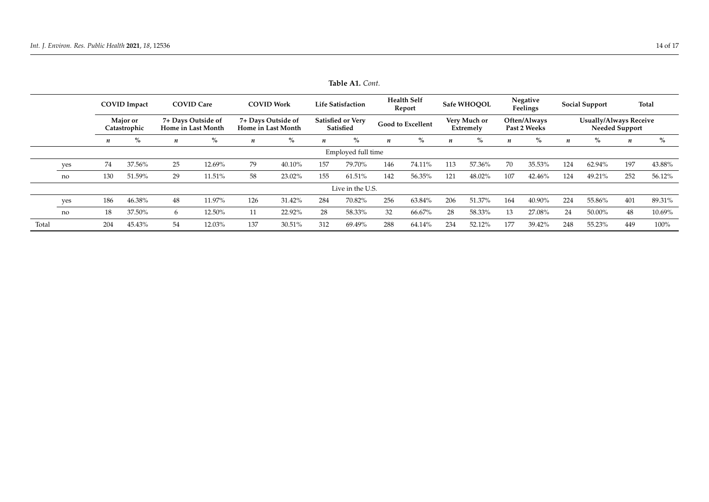|                  |                    | <b>COVID</b> Impact<br>Major or<br>Catastrophic |        | <b>COVID Care</b><br>7+ Days Outside of<br>Home in Last Month |        | <b>COVID Work</b><br>7+ Days Outside of<br>Home in Last Month |        | <b>Life Satisfaction</b><br><b>Satisfied or Very</b><br>Satisfied |        | <b>Health Self</b><br>Report<br><b>Good to Excellent</b> |        | Safe WHOOOL<br>Very Much or<br>Extremely |        | Negative<br>Feelings<br>Often/Always<br>Past 2 Weeks |        | <b>Social Support</b>                                  |        | <b>Total</b>     |        |
|------------------|--------------------|-------------------------------------------------|--------|---------------------------------------------------------------|--------|---------------------------------------------------------------|--------|-------------------------------------------------------------------|--------|----------------------------------------------------------|--------|------------------------------------------|--------|------------------------------------------------------|--------|--------------------------------------------------------|--------|------------------|--------|
|                  |                    |                                                 |        |                                                               |        |                                                               |        |                                                                   |        |                                                          |        |                                          |        |                                                      |        | <b>Usually/Always Receive</b><br><b>Needed Support</b> |        |                  |        |
|                  |                    | n                                               | $\%$   | $\boldsymbol{n}$                                              | $\%$   | n                                                             | $\%$   | n                                                                 | $\%$   | n                                                        | $\%$   | n                                        | $\%$   | n                                                    | $\%$   | $\boldsymbol{n}$                                       | $\%$   | $\boldsymbol{n}$ | $\%$   |
|                  | Employed full time |                                                 |        |                                                               |        |                                                               |        |                                                                   |        |                                                          |        |                                          |        |                                                      |        |                                                        |        |                  |        |
|                  | yes                | 74                                              | 37.56% | 25                                                            | 12.69% | 79                                                            | 40.10% | 157                                                               | 79.70% | 146                                                      | 74.11% | 113                                      | 57.36% | 70                                                   | 35.53% | 124                                                    | 62.94% | 197              | 43.88% |
|                  | no                 | 130                                             | 51.59% | 29                                                            | 11.51% | 58                                                            | 23.02% | 155                                                               | 61.51% | 142                                                      | 56.35% | 121                                      | 48.02% | 107                                                  | 42.46% | 124                                                    | 49.21% | 252              | 56.12% |
| Live in the U.S. |                    |                                                 |        |                                                               |        |                                                               |        |                                                                   |        |                                                          |        |                                          |        |                                                      |        |                                                        |        |                  |        |
|                  | yes                | 186                                             | 46.38% | 48                                                            | 11.97% | 126                                                           | 31.42% | 284                                                               | 70.82% | 256                                                      | 63.84% | 206                                      | 51.37% | 164                                                  | 40.90% | 224                                                    | 55.86% | 401              | 89.31% |
|                  | no                 | 18                                              | 37.50% | 6                                                             | 12.50% |                                                               | 22.92% | 28                                                                | 58.33% | 32                                                       | 66.67% | 28                                       | 58.33% | 13                                                   | 27.08% | 24                                                     | 50.00% | 48               | 10.69% |
| Total            |                    | 204                                             | 45.43% | 54                                                            | 12.03% | 137                                                           | 30.51% | 312                                                               | 69.49% | 288                                                      | 64.14% | 234                                      | 52.12% | 177                                                  | 39.42% | 248                                                    | 55.23% | 449              | 100%   |

**Table A1.** *Cont.*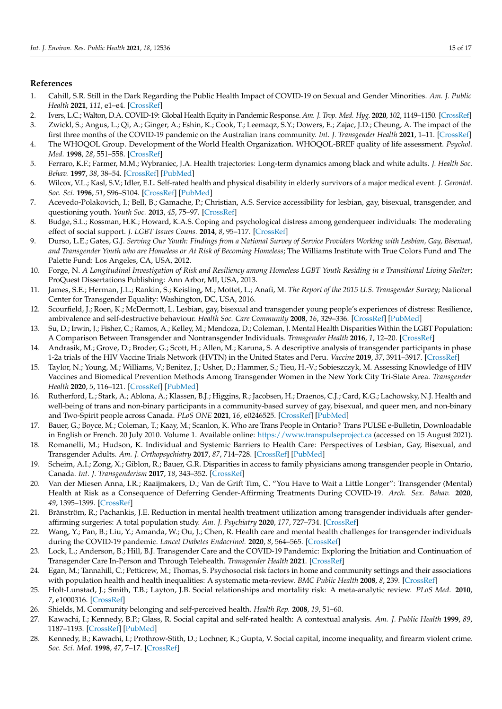## **References**

- <span id="page-14-0"></span>1. Cahill, S.R. Still in the Dark Regarding the Public Health Impact of COVID-19 on Sexual and Gender Minorities. *Am. J. Public Health* **2021**, *111*, e1–e4. [\[CrossRef\]](http://doi.org/10.2105/AJPH.2021.306397)
- 2. Ivers, L.C.; Walton, D.A. COVID-19: Global Health Equity in Pandemic Response. *Am. J. Trop. Med. Hyg.* **2020**, *102*, 1149–1150. [\[CrossRef\]](http://doi.org/10.4269/ajtmh.20-0260)
- <span id="page-14-1"></span>3. Zwickl, S.; Angus, L.; Qi, A.; Ginger, A.; Eshin, K.; Cook, T.; Leemaqz, S.Y.; Dowers, E.; Zajac, J.D.; Cheung, A. The impact of the first three months of the COVID-19 pandemic on the Australian trans community. *Int. J. Transgender Health* **2021**, 1–11. [\[CrossRef\]](http://doi.org/10.1080/26895269.2021.1890659)
- <span id="page-14-2"></span>4. The WHOQOL Group. Development of the World Health Organization. WHOQOL-BREF quality of life assessment. *Psychol. Med.* **1998**, *28*, 551–558. [\[CrossRef\]](http://doi.org/10.1017/S0033291798006667)
- <span id="page-14-3"></span>5. Ferraro, K.F.; Farmer, M.M.; Wybraniec, J.A. Health trajectories: Long-term dynamics among black and white adults. *J. Health Soc. Behav.* **1997**, *38*, 38–54. [\[CrossRef\]](http://doi.org/10.2307/2955360) [\[PubMed\]](http://www.ncbi.nlm.nih.gov/pubmed/9097507)
- <span id="page-14-4"></span>6. Wilcox, V.L.; Kasl, S.V.; Idler, E.L. Self-rated health and physical disability in elderly survivors of a major medical event. *J. Gerontol. Soc. Sci.* **1996**, *51*, S96–S104. [\[CrossRef\]](http://doi.org/10.1093/geronb/51B.2.S96) [\[PubMed\]](http://www.ncbi.nlm.nih.gov/pubmed/8785698)
- <span id="page-14-5"></span>7. Acevedo-Polakovich, I.; Bell, B.; Gamache, P.; Christian, A.S. Service accessibility for lesbian, gay, bisexual, transgender, and questioning youth. *Youth Soc.* **2013**, *45*, 75–97. [\[CrossRef\]](http://doi.org/10.1177/0044118X11409067)
- 8. Budge, S.L.; Rossman, H.K.; Howard, K.A.S. Coping and psychological distress among genderqueer individuals: The moderating effect of social support. *J. LGBT Issues Couns.* **2014**, *8*, 95–117. [\[CrossRef\]](http://doi.org/10.1080/15538605.2014.853641)
- <span id="page-14-21"></span>9. Durso, L.E.; Gates, G.J. *Serving Our Youth: Findings from a National Survey of Service Providers Working with Lesbian, Gay, Bisexual, and Transgender Youth who are Homeless or At Risk of Becoming Homeless*; The Williams Institute with True Colors Fund and The Palette Fund: Los Angeles, CA, USA, 2012.
- 10. Forge, N. *A Longitudinal Investigation of Risk and Resiliency among Homeless LGBT Youth Residing in a Transitional Living Shelter*; ProQuest Dissertations Publishing: Ann Arbor, MI, USA, 2013.
- <span id="page-14-7"></span>11. James, S.E.; Herman, J.L.; Rankin, S.; Keisling, M.; Mottet, L.; Anafi, M. *The Report of the 2015 U.S. Transgender Survey*; National Center for Transgender Equality: Washington, DC, USA, 2016.
- 12. Scourfield, J.; Roen, K.; McDermott, L. Lesbian, gay, bisexual and transgender young people's experiences of distress: Resilience, ambivalence and self-destructive behaviour. *Health Soc. Care Community* **2008**, *16*, 329–336. [\[CrossRef\]](http://doi.org/10.1111/j.1365-2524.2008.00769.x) [\[PubMed\]](http://www.ncbi.nlm.nih.gov/pubmed/18328055)
- <span id="page-14-6"></span>13. Su, D.; Irwin, J.; Fisher, C.; Ramos, A.; Kelley, M.; Mendoza, D.; Coleman, J. Mental Health Disparities Within the LGBT Population: A Comparison Between Transgender and Nontransgender Individuals. *Transgender Health* **2016**, *1*, 12–20. [\[CrossRef\]](http://doi.org/10.1089/trgh.2015.0001)
- <span id="page-14-8"></span>14. Andrasik, M.; Grove, D.; Broder, G.; Scott, H.; Allen, M.; Karuna, S. A descriptive analysis of transgender participants in phase 1-2a trials of the HIV Vaccine Trials Network (HVTN) in the United States and Peru. *Vaccine* **2019**, *37*, 3911–3917. [\[CrossRef\]](http://doi.org/10.1016/j.vaccine.2019.05.016)
- <span id="page-14-10"></span>15. Taylor, N.; Young, M.; Williams, V.; Benitez, J.; Usher, D.; Hammer, S.; Tieu, H.-V.; Sobieszczyk, M. Assessing Knowledge of HIV Vaccines and Biomedical Prevention Methods Among Transgender Women in the New York City Tri-State Area. *Transgender Health* **2020**, *5*, 116–121. [\[CrossRef\]](http://doi.org/10.1089/trgh.2019.0049) [\[PubMed\]](http://www.ncbi.nlm.nih.gov/pubmed/32656354)
- <span id="page-14-9"></span>16. Rutherford, L.; Stark, A.; Ablona, A.; Klassen, B.J.; Higgins, R.; Jacobsen, H.; Draenos, C.J.; Card, K.G.; Lachowsky, N.J. Health and well-being of trans and non-binary participants in a community-based survey of gay, bisexual, and queer men, and non-binary and Two-Spirit people across Canada. *PLoS ONE* **2021**, *16*, e0246525. [\[CrossRef\]](http://doi.org/10.1371/journal.pone.0246525) [\[PubMed\]](http://www.ncbi.nlm.nih.gov/pubmed/33571252)
- <span id="page-14-11"></span>17. Bauer, G.; Boyce, M.; Coleman, T.; Kaay, M.; Scanlon, K. Who are Trans People in Ontario? Trans PULSE e-Bulletin, Downloadable in English or French. 20 July 2010. Volume 1. Available online: <https://www.transpulseproject.ca> (accessed on 15 August 2021).
- <span id="page-14-22"></span>18. Romanelli, M.; Hudson, K. Individual and Systemic Barriers to Health Care: Perspectives of Lesbian, Gay, Bisexual, and Transgender Adults. *Am. J. Orthopsychiatry* **2017**, *87*, 714–728. [\[CrossRef\]](http://doi.org/10.1037/ort0000306) [\[PubMed\]](http://www.ncbi.nlm.nih.gov/pubmed/29154611)
- <span id="page-14-12"></span>19. Scheim, A.I.; Zong, X.; Giblon, R.; Bauer, G.R. Disparities in access to family physicians among transgender people in Ontario, Canada. *Int. J. Transgenderism* **2017**, *18*, 343–352. [\[CrossRef\]](http://doi.org/10.1080/15532739.2017.1323069)
- <span id="page-14-13"></span>20. Van der Miesen Anna, I.R.; Raaijmakers, D.; Van de Grift Tim, C. "You Have to Wait a Little Longer": Transgender (Mental) Health at Risk as a Consequence of Deferring Gender-Affirming Treatments During COVID-19. *Arch. Sex. Behav.* **2020**, *49*, 1395–1399. [\[CrossRef\]](http://doi.org/10.1007/s10508-020-01754-3)
- <span id="page-14-14"></span>21. Bränström, R.; Pachankis, J.E. Reduction in mental health treatment utilization among transgender individuals after genderaffirming surgeries: A total population study. *Am. J. Psychiatry* **2020**, *177*, 727–734. [\[CrossRef\]](http://doi.org/10.1176/appi.ajp.2019.19010080)
- <span id="page-14-15"></span>22. Wang, Y.; Pan, B.; Liu, Y.; Amanda, W.; Ou, J.; Chen, R. Health care and mental health challenges for transgender individuals during the COVID-19 pandemic. *Lancet Diabetes Endocrinol.* **2020**, *8*, 564–565. [\[CrossRef\]](http://doi.org/10.1016/S2213-8587(20)30182-0)
- <span id="page-14-16"></span>23. Lock, L.; Anderson, B.; Hill, B.J. Transgender Care and the COVID-19 Pandemic: Exploring the Initiation and Continuation of Transgender Care In-Person and Through Telehealth. *Transgender Health* **2021**. [\[CrossRef\]](http://doi.org/10.1089/trgh.2020.0161)
- <span id="page-14-17"></span>24. Egan, M.; Tannahill, C.; Petticrew, M.; Thomas, S. Psychosocial risk factors in home and community settings and their associations with population health and health inequalities: A systematic meta-review. *BMC Public Health* **2008**, *8*, 239. [\[CrossRef\]](http://doi.org/10.1186/1471-2458-8-239)
- 25. Holt-Lunstad, J.; Smith, T.B.; Layton, J.B. Social relationships and mortality risk: A meta-analytic review. *PLoS Med.* **2010**, *7*, e1000316. [\[CrossRef\]](http://doi.org/10.1371/journal.pmed.1000316)
- <span id="page-14-18"></span>26. Shields, M. Community belonging and self-perceived health. *Health Rep.* **2008**, *19*, 51–60.
- <span id="page-14-19"></span>27. Kawachi, I.; Kennedy, B.P.; Glass, R. Social capital and self-rated health: A contextual analysis. *Am. J. Public Health* **1999**, *89*, 1187–1193. [\[CrossRef\]](http://doi.org/10.2105/AJPH.89.8.1187) [\[PubMed\]](http://www.ncbi.nlm.nih.gov/pubmed/10432904)
- <span id="page-14-20"></span>28. Kennedy, B.; Kawachi, I.; Prothrow-Stith, D.; Lochner, K.; Gupta, V. Social capital, income inequality, and firearm violent crime. *Soc. Sci. Med.* **1998**, *47*, 7–17. [\[CrossRef\]](http://doi.org/10.1016/S0277-9536(98)00097-5)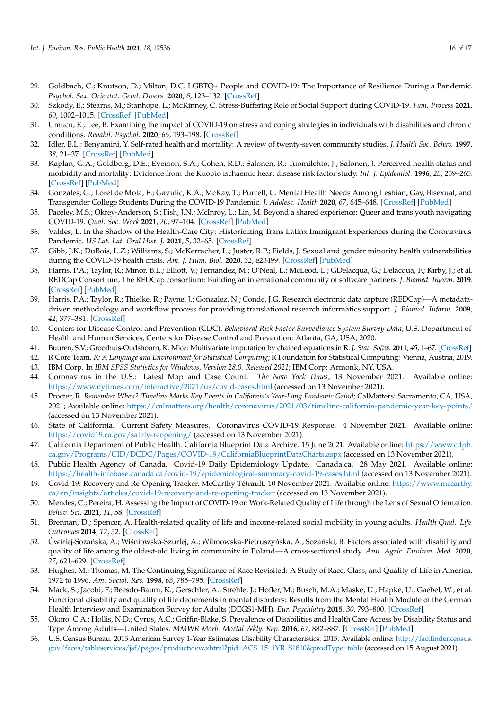- <span id="page-15-0"></span>29. Goldbach, C.; Knutson, D.; Milton, D.C. LGBTQ+ People and COVID-19: The Importance of Resilience During a Pandemic. *Psychol. Sex. Orientat. Gend. Divers.* **2020**, *6*, 123–132. [\[CrossRef\]](http://doi.org/10.1037/sgd0000463)
- <span id="page-15-1"></span>30. Szkody, E.; Stearns, M.; Stanhope, L.; McKinney, C. Stress-Buffering Role of Social Support during COVID-19. *Fam. Process* **2021**, *60*, 1002–1015. [\[CrossRef\]](http://doi.org/10.1111/famp.12618) [\[PubMed\]](http://www.ncbi.nlm.nih.gov/pubmed/33220082)
- <span id="page-15-2"></span>31. Umucu, E.; Lee, B. Examining the impact of COVID-19 on stress and coping strategies in individuals with disabilities and chronic conditions. *Rehabil. Psychol.* **2020**, *65*, 193–198. [\[CrossRef\]](http://doi.org/10.1037/rep0000328)
- <span id="page-15-3"></span>32. Idler, E.L.; Benyamini, Y. Self-rated health and mortality: A review of twenty-seven community studies. *J. Health Soc. Behav.* **1997**, *38*, 21–37. [\[CrossRef\]](http://doi.org/10.2307/2955359) [\[PubMed\]](http://www.ncbi.nlm.nih.gov/pubmed/9097506)
- <span id="page-15-4"></span>33. Kaplan, G.A.; Goldberg, D.E.; Everson, S.A.; Cohen, R.D.; Salonen, R.; Tuomilehto, J.; Salonen, J. Perceived health status and morbidity and mortality: Evidence from the Kuopio ischaemic heart disease risk factor study. *Int. J. Epidemiol.* **1996**, *25*, 259–265. [\[CrossRef\]](http://doi.org/10.1093/ije/25.2.259) [\[PubMed\]](http://www.ncbi.nlm.nih.gov/pubmed/9119550)
- <span id="page-15-5"></span>34. Gonzales, G.; Loret de Mola, E.; Gavulic, K.A.; McKay, T.; Purcell, C. Mental Health Needs Among Lesbian, Gay, Bisexual, and Transgender College Students During the COVID-19 Pandemic. *J. Adolesc. Health* **2020**, *67*, 645–648. [\[CrossRef\]](http://doi.org/10.1016/j.jadohealth.2020.08.006) [\[PubMed\]](http://www.ncbi.nlm.nih.gov/pubmed/32933837)
- <span id="page-15-6"></span>35. Paceley, M.S.; Okrey-Anderson, S.; Fish, J.N.; McInroy, L.; Lin, M. Beyond a shared experience: Queer and trans youth navigating COVID-19. *Qual. Soc. Work* **2021**, *20*, 97–104. [\[CrossRef\]](http://doi.org/10.1177/1473325020973329) [\[PubMed\]](http://www.ncbi.nlm.nih.gov/pubmed/34025216)
- <span id="page-15-7"></span>36. Valdes, L. In the Shadow of the Health-Care City: Historicizing Trans Latinx Immigrant Experiences during the Coronavirus Pandemic. *US Lat. Lat. Oral Hist. J.* **2021**, *5*, 32–65. [\[CrossRef\]](http://doi.org/10.7560/OHJ503)
- <span id="page-15-8"></span>37. Gibb, J.K.; DuBois, L.Z.; Williams, S.; McKerracher, L.; Juster, R.P.; Fields, J. Sexual and gender minority health vulnerabilities during the COVID-19 health crisis. *Am. J. Hum. Biol.* **2020**, *32*, e23499. [\[CrossRef\]](http://doi.org/10.1002/ajhb.23499) [\[PubMed\]](http://www.ncbi.nlm.nih.gov/pubmed/32910838)
- <span id="page-15-9"></span>38. Harris, P.A.; Taylor, R.; Minor, B.L.; Elliott, V.; Fernandez, M.; O'Neal, L.; McLeod, L.; GDelacqua, G.; Delacqua, F.; Kirby, J.; et al. REDCap Consortium, The REDCap consortium: Building an international community of software partners. *J. Biomed. Inform.* **2019**. [\[CrossRef\]](http://doi.org/10.1016/j.jbi.2019.103208) [\[PubMed\]](http://www.ncbi.nlm.nih.gov/pubmed/31078660)
- <span id="page-15-10"></span>39. Harris, P.A.; Taylor, R.; Thielke, R.; Payne, J.; Gonzalez, N.; Conde, J.G. Research electronic data capture (REDCap)—A metadatadriven methodology and workflow process for providing translational research informatics support. *J. Biomed. Inform.* **2009**, *42*, 377–381. [\[CrossRef\]](http://doi.org/10.1016/j.jbi.2008.08.010)
- <span id="page-15-11"></span>40. Centers for Disease Control and Prevention (CDC). *Behavioral Risk Factor Surveillance System Survey Data*; U.S. Department of Health and Human Services, Centers for Disease Control and Prevention: Atlanta, GA, USA, 2020.
- <span id="page-15-12"></span>41. Buuren, S.V.; Groothuis-Oudshoorn, K. Mice: Multivariate imputation by chained equations in R. *J. Stat. Softw.* **2011**, *45*, 1–67. [\[CrossRef\]](http://doi.org/10.18637/jss.v045.i03)
- <span id="page-15-13"></span>42. R Core Team. *R: A Language and Environment for Statistical Computing*; R Foundation for Statistical Computing: Vienna, Austria, 2019.
- <span id="page-15-14"></span>43. IBM Corp. In *IBM SPSS Statistics for Windows, Version 28.0. Released 2021*; IBM Corp: Armonk, NY, USA.
- <span id="page-15-15"></span>44. Coronavirus in the U.S.: Latest Map and Case Count. *The New York Times*, 13 November 2021. Available online: <https://www.nytimes.com/interactive/2021/us/covid-cases.html> (accessed on 13 November 2021).
- <span id="page-15-16"></span>45. Procter, R. *Remember When? Timeline Marks Key Events in California's Year-Long Pandemic Grind*; CalMatters: Sacramento, CA, USA, 2021; Available online: <https://calmatters.org/health/coronavirus/2021/03/timeline-california-pandemic-year-key-points/> (accessed on 13 November 2021).
- <span id="page-15-17"></span>46. State of California. Current Safety Measures. Coronavirus COVID-19 Response. 4 November 2021. Available online: <https://covid19.ca.gov/safely-reopening/> (accessed on 13 November 2021).
- <span id="page-15-18"></span>47. California Department of Public Health. California Blueprint Data Archive. 15 June 2021. Available online: [https://www.cdph.](https://www.cdph.ca.gov/Programs/CID/DCDC/Pages/COVID-19/CaliforniaBlueprintDataCharts.aspx) [ca.gov/Programs/CID/DCDC/Pages/COVID-19/CaliforniaBlueprintDataCharts.aspx](https://www.cdph.ca.gov/Programs/CID/DCDC/Pages/COVID-19/CaliforniaBlueprintDataCharts.aspx) (accessed on 13 November 2021).
- <span id="page-15-19"></span>48. Public Health Agency of Canada. Covid-19 Daily Epidemiology Update. Canada.ca. 28 May 2021. Available online: <https://health-infobase.canada.ca/covid-19/epidemiological-summary-covid-19-cases.html> (accessed on 13 November 2021).
- <span id="page-15-20"></span>49. Covid-19: Recovery and Re-Opening Tracker. McCarthy Tétrault. 10 November 2021. Available online: [https://www.mccarthy.](https://www.mccarthy.ca/en/insights/articles/covid-19-recovery-and-re-opening-tracker) [ca/en/insights/articles/covid-19-recovery-and-re-opening-tracker](https://www.mccarthy.ca/en/insights/articles/covid-19-recovery-and-re-opening-tracker) (accessed on 13 November 2021).
- <span id="page-15-21"></span>50. Mendes, C.; Pereira, H. Assessing the Impact of COVID-19 on Work-Related Quality of Life through the Lens of Sexual Orientation. *Behav. Sci.* **2021**, *11*, 58. [\[CrossRef\]](http://doi.org/10.3390/bs11050058)
- <span id="page-15-22"></span>51. Brennan, D.; Spencer, A. Health-related quality of life and income-related social mobility in young adults. *Health Qual. Life Outcomes* **2014**, *12*, 52. [\[CrossRef\]](http://doi.org/10.1186/1477-7525-12-52)
- <span id="page-15-26"></span>52. Ćwirlej-Sozańska, A.; Wiśniowska-Szurlej, A.; Wilmowska-Pietruszyńska, A.; Sozański, B. Factors associated with disability and quality of life among the oldest-old living in community in Poland—A cross-sectional study. *Ann. Agric. Environ. Med.* **2020**, *27*, 621–629. [\[CrossRef\]](http://doi.org/10.26444/aaem/115020)
- 53. Hughes, M.; Thomas, M. The Continuing Significance of Race Revisited: A Study of Race, Class, and Quality of Life in America, 1972 to 1996. *Am. Sociol. Rev.* **1998**, *63*, 785–795. [\[CrossRef\]](http://doi.org/10.2307/2657501)
- <span id="page-15-23"></span>54. Mack, S.; Jacobi, F.; Beesdo-Baum, K.; Gerschler, A.; Strehle, J.; Höfler, M.; Busch, M.A.; Maske, U.; Hapke, U.; Gaebel, W.; et al. Functional disability and quality of life decrements in mental disorders: Results from the Mental Health Module of the German Health Interview and Examination Survey for Adults (DEGS1-MH). *Eur. Psychiatry* **2015**, *30*, 793–800. [\[CrossRef\]](http://doi.org/10.1016/j.eurpsy.2015.06.003)
- <span id="page-15-24"></span>55. Okoro, C.A.; Hollis, N.D.; Cyrus, A.C.; Griffin-Blake, S. Prevalence of Disabilities and Health Care Access by Disability Status and Type Among Adults—United States. *MMWR Morb. Mortal Wkly. Rep.* **2016**, *67*, 882–887. [\[CrossRef\]](http://doi.org/10.15585/mmwr.mm6732a3) [\[PubMed\]](http://www.ncbi.nlm.nih.gov/pubmed/30114005)
- <span id="page-15-25"></span>56. U.S. Census Bureau. 2015 American Survey 1-Year Estimates: Disability Characteristics. 2015. Available online: [http://factfinder.census.](http://factfinder.census.gov/faces/tableservices/jsf/pages/productview.xhtml?pid=ACS_15_1YR_S1810&prodType=table) [gov/faces/tableservices/jsf/pages/productview.xhtml?pid=ACS\\_15\\_1YR\\_S1810&prodType=table](http://factfinder.census.gov/faces/tableservices/jsf/pages/productview.xhtml?pid=ACS_15_1YR_S1810&prodType=table) (accessed on 15 August 2021).